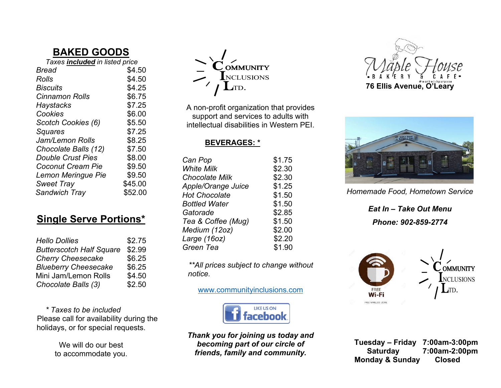# **BAKED GOODS**

| Taxes included in listed price |         |
|--------------------------------|---------|
| Bread                          | \$4.50  |
| Rolls                          | \$4.50  |
| Biscuits                       | \$4.25  |
| <b>Cinnamon Rolls</b>          | \$6.75  |
| Haystacks                      | \$7.25  |
| Cookies                        | \$6.00  |
| Scotch Cookies (6)             | \$5.50  |
| Squares                        | \$7.25  |
| Jam/Lemon Rolls                | \$8.25  |
| Chocolate Balls (12)           | \$7.50  |
| <b>Double Crust Pies</b>       | \$8.00  |
| <b>Coconut Cream Pie</b>       | \$9.50  |
| Lemon Meringue Pie             | \$9.50  |
| <b>Sweet Tray</b>              | \$45.00 |
| <b>Sandwich Tray</b>           | \$52.00 |

# **Single Serve Portions\***

| <b>Hello Dollies</b>            | \$2.75 |
|---------------------------------|--------|
| <b>Butterscotch Half Square</b> | \$2.99 |
| <b>Cherry Cheesecake</b>        | \$6.25 |
| <b>Blueberry Cheesecake</b>     | \$6.25 |
| Mini Jam/Lemon Rolls            | \$4.50 |
| Chocolate Balls (3)             | \$2.50 |

*\* Taxes to be included*  Please call for availability during the holidays, or for special requests.

> We will do our best to accommodate you.



A non-profit organization that provides support and services to adults with intellectual disabilities in Western PEI.

#### **BEVERAGES: \***

| Can Pop               | \$1.75 |
|-----------------------|--------|
| <b>White Milk</b>     | \$2.30 |
| <b>Chocolate Milk</b> | \$2.30 |
| Apple/Orange Juice    | \$1.25 |
| <b>Hot Chocolate</b>  | \$1.50 |
| <b>Bottled Water</b>  | \$1.50 |
| Gatorade              | \$2.85 |
| Tea & Coffee (Mug)    | \$1.50 |
| Medium (12oz)         | \$2.00 |
| Large (16oz)          | \$2.20 |
| Green Tea             | \$1.90 |
|                       |        |

 *\*\*All prices subject to change without notice.*

[www.communityinclusions.com](about:blank)



*Thank you for joining us today and becoming part of our circle of friends, family and community.*





*Homemade Food, Hometown Service*

*Eat In – Take Out Menu Phone: 902-859-2774*



 **Tuesday – Friday 7:00am-3:00pm Saturday 7:00am-2:00pm Monday & Sunday Closed**